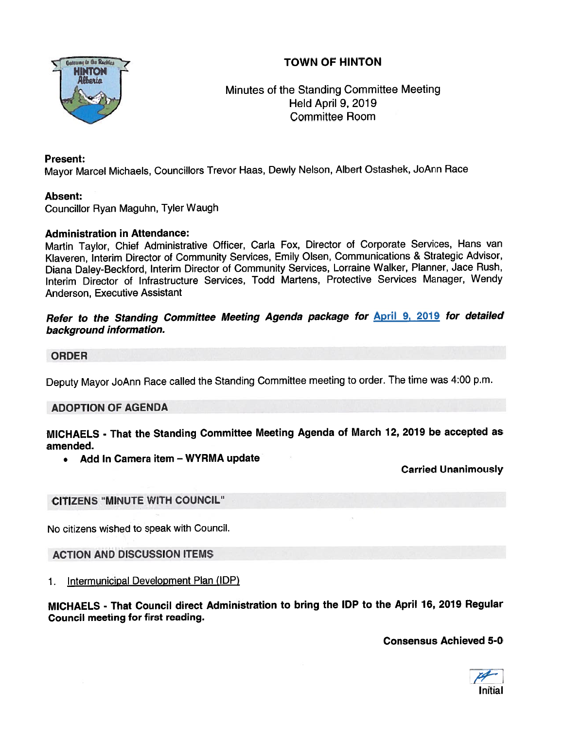# TOWN OF HINTON



Minutes of the Standing Committee Meeting Held April 9, 2019 Committee Room

#### Present:

Mayor Marcel Michaels, Councillors Trevor Haas, Dewly Nelson, Albert Ostashek, JoAnn Race

#### Absent:

Councillor Ryan Maguhn, Tyler Waugh

#### Administration in Attendance:

Martin Taylor, Chief Administrative Officer, Carla Fox, Director of Corporate Services, Hans van Klaveren, Interim Director of Community Services, Emily Olsen, Communications & Strategic Advisor, Diana Daley-Beckford, Interim Director of Community Services, Lorraine Walker, Planner, Jace Rush, Interim Director of Infrastructure Services, Todd Martens, Protective Services Manager, Wendy Anderson, Executive Assistant

Refer to the Standing Committee Meeting Agenda package for **April 9, 2019** for detailed background information.

#### ORDER

Deputy Mayor JoAnn Race called the Standing Committee meeting to order. The time was 4:00 p.m.

#### ADOPTION OF AGENDA

MICHAELS - That the Standing Committee Meeting Agenda of March 72, <sup>2019</sup> be accepted as amended.

• Add In Camera item — WYRMA update

Carried Unanimously

#### CITIZENS "MINUTE WITH COUNCIL"

No citizens wished to speak with Council.

ACTION AND DISCUSSION ITEMS

1. Intermunicipal Development Plan (IDP)

MICHAELS - That Council direct Administration to bring the IDP to the April 76, 2019 Regular Council meeting for first reading.

Consensus Achieved 5-0